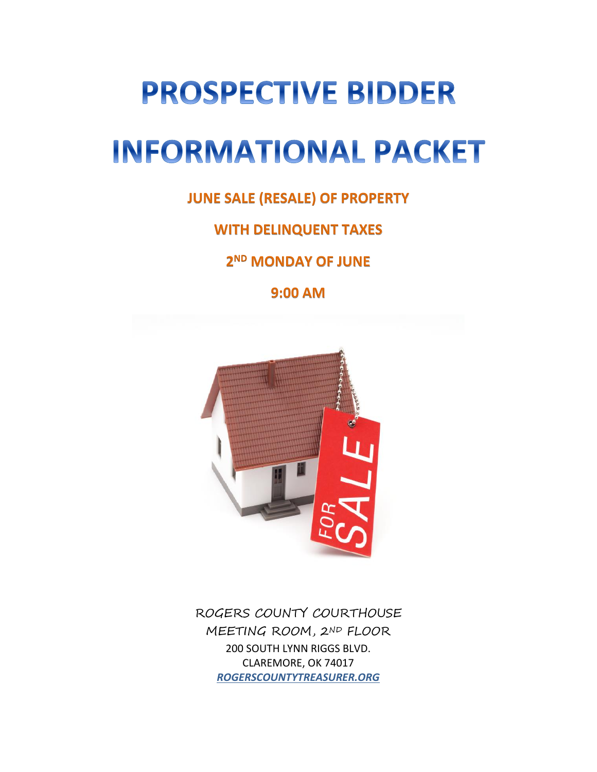# **PROSPECTIVE BIDDER INFORMATIONAL PACKET**

**JUNE SALE (RESALE) OF PROPERTY** 

**WITH DELINQUENT TAXES** 

**2 ND MONDAY OF JUNE**

**9:00 AM**



ROGERS COUNTY COURTHOUSE MEETING ROOM, 2ND FLOOR 200 SOUTH LYNN RIGGS BLVD. CLAREMORE, OK 74017 *ROGERSCOUNTYTREASURER.ORG*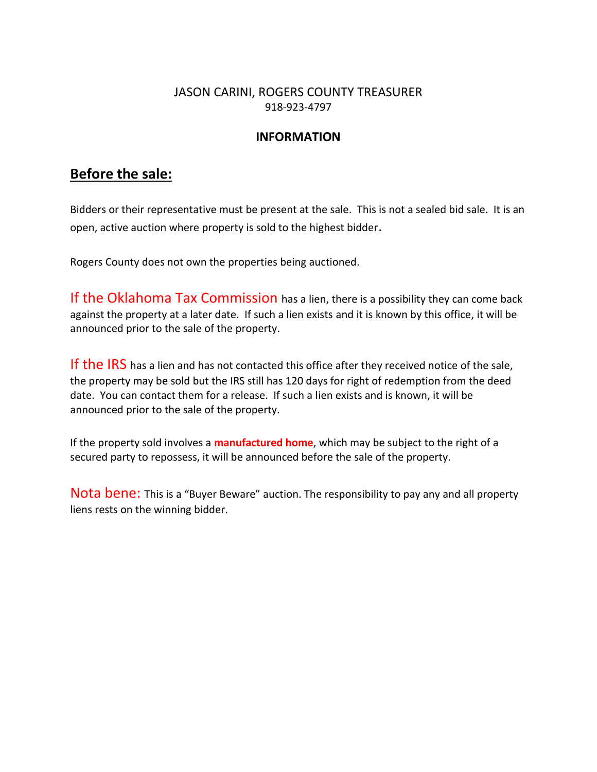### JASON CARINI, ROGERS COUNTY TREASURER 918-923-4797

#### **INFORMATION**

## **Before the sale:**

Bidders or their representative must be present at the sale. This is not a sealed bid sale. It is an open, active auction where property is sold to the highest bidder.

Rogers County does not own the properties being auctioned.

If the Oklahoma Tax Commission has a lien, there is a possibility they can come back against the property at a later date. If such a lien exists and it is known by this office, it will be announced prior to the sale of the property.

If the IRS has a lien and has not contacted this office after they received notice of the sale, the property may be sold but the IRS still has 120 days for right of redemption from the deed date. You can contact them for a release. If such a lien exists and is known, it will be announced prior to the sale of the property.

If the property sold involves a **manufactured home**, which may be subject to the right of a secured party to repossess, it will be announced before the sale of the property.

Nota bene: This is a "Buyer Beware" auction. The responsibility to pay any and all property liens rests on the winning bidder.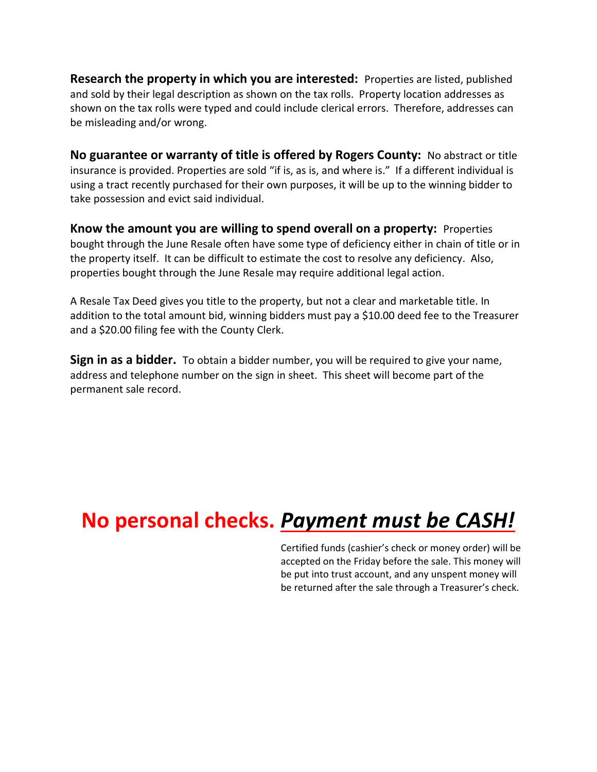**Research the property in which you are interested:** Properties are listed, published and sold by their legal description as shown on the tax rolls. Property location addresses as shown on the tax rolls were typed and could include clerical errors. Therefore, addresses can be misleading and/or wrong.

**No guarantee or warranty of title is offered by Rogers County:** No abstract or title insurance is provided. Properties are sold "if is, as is, and where is." If a different individual is using a tract recently purchased for their own purposes, it will be up to the winning bidder to take possession and evict said individual.

**Know the amount you are willing to spend overall on a property:** Properties bought through the June Resale often have some type of deficiency either in chain of title or in the property itself. It can be difficult to estimate the cost to resolve any deficiency. Also, properties bought through the June Resale may require additional legal action.

A Resale Tax Deed gives you title to the property, but not a clear and marketable title. In addition to the total amount bid, winning bidders must pay a \$10.00 deed fee to the Treasurer and a \$20.00 filing fee with the County Clerk.

**Sign in as a bidder.** To obtain a bidder number, you will be required to give your name, address and telephone number on the sign in sheet. This sheet will become part of the permanent sale record.

# **No personal checks.** *Payment must be CASH!*

Certified funds (cashier's check or money order) will be accepted on the Friday before the sale. This money will be put into trust account, and any unspent money will be returned after the sale through a Treasurer's check.